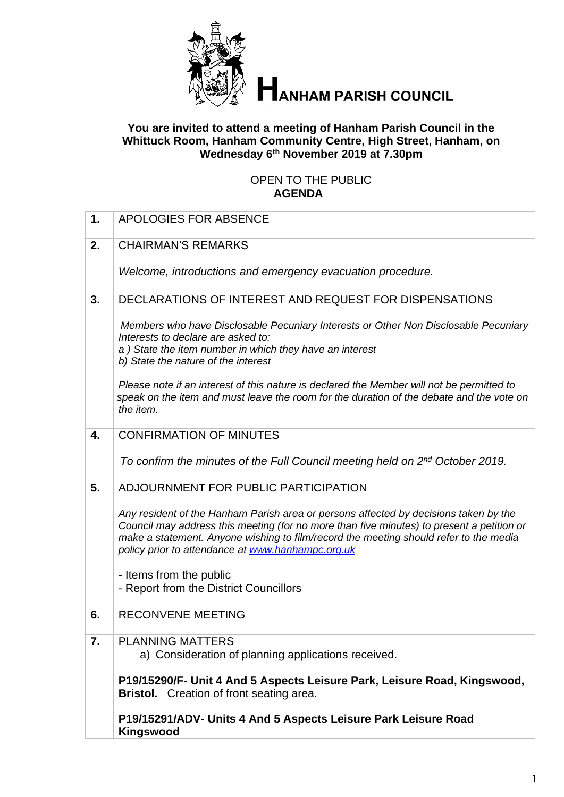

# **HANHAM PARISH COUNCIL**

#### **You are invited to attend a meeting of Hanham Parish Council in the Whittuck Room, Hanham Community Centre, High Street, Hanham, on Wednesday 6 th November 2019 at 7.30pm**

#### OPEN TO THE PUBLIC **AGENDA**

| 1. | <b>APOLOGIES FOR ABSENCE</b>                                                                                                                                                                                                                                                                                                    |
|----|---------------------------------------------------------------------------------------------------------------------------------------------------------------------------------------------------------------------------------------------------------------------------------------------------------------------------------|
| 2. | <b>CHAIRMAN'S REMARKS</b>                                                                                                                                                                                                                                                                                                       |
|    | Welcome, introductions and emergency evacuation procedure.                                                                                                                                                                                                                                                                      |
| 3. | DECLARATIONS OF INTEREST AND REQUEST FOR DISPENSATIONS                                                                                                                                                                                                                                                                          |
|    | Members who have Disclosable Pecuniary Interests or Other Non Disclosable Pecuniary<br>Interests to declare are asked to:<br>a) State the item number in which they have an interest<br>b) State the nature of the interest                                                                                                     |
|    | Please note if an interest of this nature is declared the Member will not be permitted to<br>speak on the item and must leave the room for the duration of the debate and the vote on<br>the item.                                                                                                                              |
| 4. | <b>CONFIRMATION OF MINUTES</b>                                                                                                                                                                                                                                                                                                  |
|    | To confirm the minutes of the Full Council meeting held on 2nd October 2019.                                                                                                                                                                                                                                                    |
| 5. | ADJOURNMENT FOR PUBLIC PARTICIPATION                                                                                                                                                                                                                                                                                            |
|    | Any resident of the Hanham Parish area or persons affected by decisions taken by the<br>Council may address this meeting (for no more than five minutes) to present a petition or<br>make a statement. Anyone wishing to film/record the meeting should refer to the media<br>policy prior to attendance at www.hanhampc.org.uk |
|    | - Items from the public                                                                                                                                                                                                                                                                                                         |
|    | - Report from the District Councillors                                                                                                                                                                                                                                                                                          |
| 6. | <b>RECONVENE MEETING</b>                                                                                                                                                                                                                                                                                                        |
| 7. | <b>PLANNING MATTERS</b><br>a) Consideration of planning applications received.                                                                                                                                                                                                                                                  |
|    | P19/15290/F- Unit 4 And 5 Aspects Leisure Park, Leisure Road, Kingswood,<br><b>Bristol.</b> Creation of front seating area.                                                                                                                                                                                                     |
|    | P19/15291/ADV- Units 4 And 5 Aspects Leisure Park Leisure Road<br>Kingswood                                                                                                                                                                                                                                                     |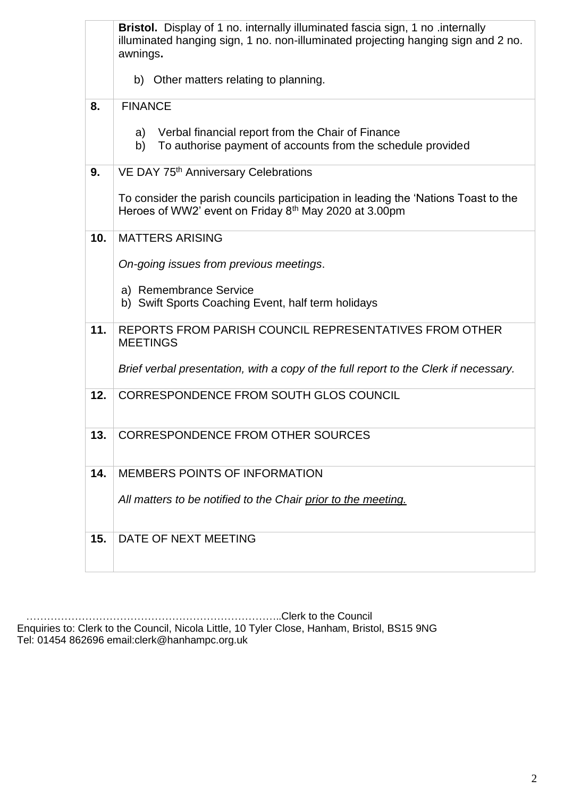|     | Bristol. Display of 1 no. internally illuminated fascia sign, 1 no .internally<br>illuminated hanging sign, 1 no. non-illuminated projecting hanging sign and 2 no.<br>awnings. |  |  |
|-----|---------------------------------------------------------------------------------------------------------------------------------------------------------------------------------|--|--|
|     | b) Other matters relating to planning.                                                                                                                                          |  |  |
| 8.  | <b>FINANCE</b>                                                                                                                                                                  |  |  |
|     | Verbal financial report from the Chair of Finance<br>a)<br>To authorise payment of accounts from the schedule provided<br>b)                                                    |  |  |
| 9.  | VE DAY 75 <sup>th</sup> Anniversary Celebrations                                                                                                                                |  |  |
|     | To consider the parish councils participation in leading the 'Nations Toast to the<br>Heroes of WW2' event on Friday 8 <sup>th</sup> May 2020 at 3.00pm                         |  |  |
| 10. | <b>MATTERS ARISING</b>                                                                                                                                                          |  |  |
|     | On-going issues from previous meetings.                                                                                                                                         |  |  |
|     | a) Remembrance Service<br>b) Swift Sports Coaching Event, half term holidays                                                                                                    |  |  |
| 11. | REPORTS FROM PARISH COUNCIL REPRESENTATIVES FROM OTHER<br><b>MEETINGS</b>                                                                                                       |  |  |
|     | Brief verbal presentation, with a copy of the full report to the Clerk if necessary.                                                                                            |  |  |
| 12. | CORRESPONDENCE FROM SOUTH GLOS COUNCIL                                                                                                                                          |  |  |
| 13. | <b>CORRESPONDENCE FROM OTHER SOURCES</b>                                                                                                                                        |  |  |
| 14. | <b>MEMBERS POINTS OF INFORMATION</b>                                                                                                                                            |  |  |
|     | All matters to be notified to the Chair prior to the meeting.                                                                                                                   |  |  |
| 15. | DATE OF NEXT MEETING                                                                                                                                                            |  |  |

 ………………………………………………………………..Clerk to the Council Enquiries to: Clerk to the Council, Nicola Little, 10 Tyler Close, Hanham, Bristol, BS15 9NG Tel: 01454 862696 email:clerk@hanhampc.org.uk